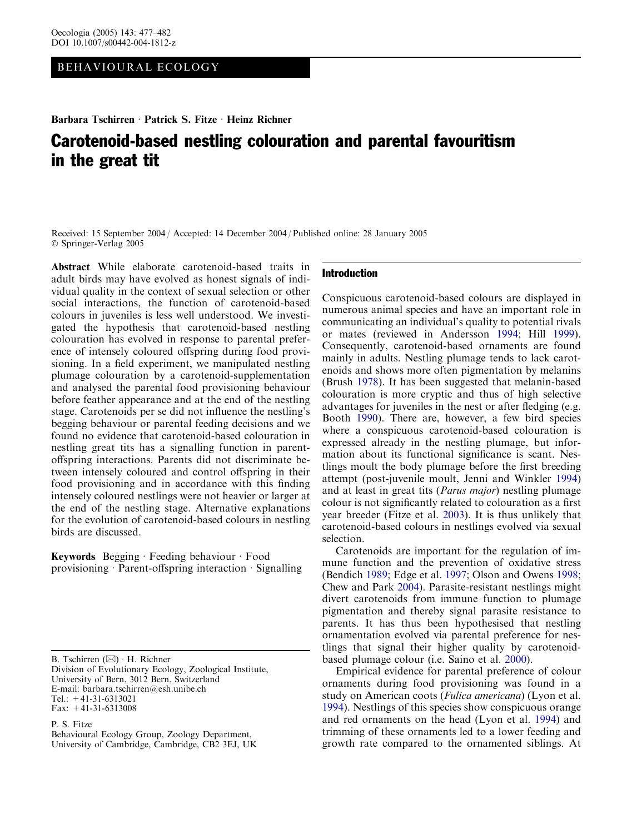# BEHAVIOURAL ECOLOGY

Barbara Tschirren · Patrick S. Fitze · Heinz Richner

# Carotenoid-based nestling colouration and parental favouritism in the great tit

Received: 15 September 2004 / Accepted: 14 December 2004 / Published online: 28 January 2005 Springer-Verlag 2005

Abstract While elaborate carotenoid-based traits in adult birds may have evolved as honest signals of individual quality in the context of sexual selection or other social interactions, the function of carotenoid-based colours in juveniles is less well understood. We investigated the hypothesis that carotenoid-based nestling colouration has evolved in response to parental preference of intensely coloured offspring during food provisioning. In a field experiment, we manipulated nestling plumage colouration by a carotenoid-supplementation and analysed the parental food provisioning behaviour before feather appearance and at the end of the nestling stage. Carotenoids per se did not influence the nestling's begging behaviour or parental feeding decisions and we found no evidence that carotenoid-based colouration in nestling great tits has a signalling function in parentoffspring interactions. Parents did not discriminate between intensely coloured and control offspring in their food provisioning and in accordance with this finding intensely coloured nestlings were not heavier or larger at the end of the nestling stage. Alternative explanations for the evolution of carotenoid-based colours in nestling birds are discussed.

Keywords Begging Feeding behaviour Food provisioning  $\cdot$  Parent-offspring interaction  $\cdot$  Signalling

B. Tschirren  $(\boxtimes)$  · H. Richner Division of Evolutionary Ecology, Zoological Institute, University of Bern, 3012 Bern, Switzerland E-mail: barbara.tschirren@esh.unibe.ch  $Tel· + 41-31-6313021$ Fax: +41-31-6313008

P. S. Fitze

Behavioural Ecology Group, Zoology Department, University of Cambridge, Cambridge, CB2 3EJ, UK

#### Introduction

Conspicuous carotenoid-based colours are displayed in numerous animal species and have an important role in communicating an individual's quality to potential rivals or mates (reviewed in Andersson [1994;](#page-4-0) Hill [1999\)](#page-4-0). Consequently, carotenoid-based ornaments are found mainly in adults. Nestling plumage tends to lack carotenoids and shows more often pigmentation by melanins (Brush [1978](#page-4-0)). It has been suggested that melanin-based colouration is more cryptic and thus of high selective advantages for juveniles in the nest or after fledging (e.g. Booth [1990\)](#page-4-0). There are, however, a few bird species where a conspicuous carotenoid-based colouration is expressed already in the nestling plumage, but information about its functional significance is scant. Nestlings moult the body plumage before the first breeding attempt (post-juvenile moult, Jenni and Winkler [1994\)](#page-4-0) and at least in great tits (*Parus major*) nestling plumage colour is not significantly related to colouration as a first year breeder (Fitze et al. [2003](#page-4-0)). It is thus unlikely that carotenoid-based colours in nestlings evolved via sexual selection.

Carotenoids are important for the regulation of immune function and the prevention of oxidative stress (Bendich [1989;](#page-4-0) Edge et al. [1997](#page-4-0); Olson and Owens [1998](#page-4-0); Chew and Park [2004\)](#page-4-0). Parasite-resistant nestlings might divert carotenoids from immune function to plumage pigmentation and thereby signal parasite resistance to parents. It has thus been hypothesised that nestling ornamentation evolved via parental preference for nestlings that signal their higher quality by carotenoidbased plumage colour (i.e. Saino et al. [2000\)](#page-4-0).

Empirical evidence for parental preference of colour ornaments during food provisioning was found in a study on American coots (*Fulica americana*) (Lyon et al. [1994\)](#page-4-0). Nestlings of this species show conspicuous orange and red ornaments on the head (Lyon et al. [1994\)](#page-4-0) and trimming of these ornaments led to a lower feeding and growth rate compared to the ornamented siblings. At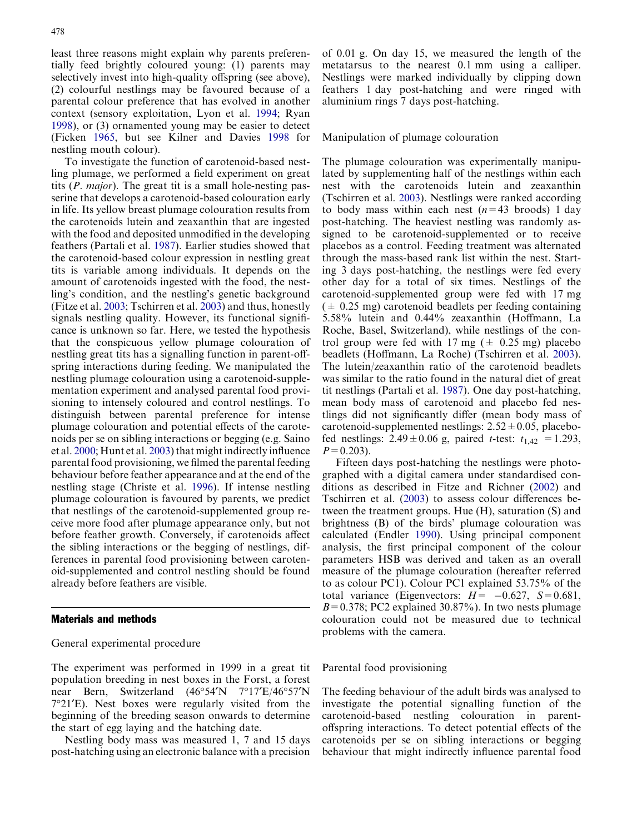least three reasons might explain why parents preferentially feed brightly coloured young: (1) parents may selectively invest into high-quality offspring (see above), (2) colourful nestlings may be favoured because of a parental colour preference that has evolved in another context (sensory exploitation, Lyon et al. [1994;](#page-4-0) Ryan [1998](#page-4-0)), or (3) ornamented young may be easier to detect (Ficken [1965](#page-4-0), but see Kilner and Davies [1998](#page-4-0) for nestling mouth colour).

To investigate the function of carotenoid-based nestling plumage, we performed a field experiment on great tits (P. major). The great tit is a small hole-nesting passerine that develops a carotenoid-based colouration early in life. Its yellow breast plumage colouration results from the carotenoids lutein and zeaxanthin that are ingested with the food and deposited unmodified in the developing feathers (Partali et al. [1987](#page-4-0)). Earlier studies showed that the carotenoid-based colour expression in nestling great tits is variable among individuals. It depends on the amount of carotenoids ingested with the food, the nestling's condition, and the nestling's genetic background (Fitze et al. [2003;](#page-4-0) Tschirren et al. [2003\)](#page-5-0) and thus, honestly signals nestling quality. However, its functional significance is unknown so far. Here, we tested the hypothesis that the conspicuous yellow plumage colouration of nestling great tits has a signalling function in parent-offspring interactions during feeding. We manipulated the nestling plumage colouration using a carotenoid-supplementation experiment and analysed parental food provisioning to intensely coloured and control nestlings. To distinguish between parental preference for intense plumage colouration and potential effects of the carotenoids per se on sibling interactions or begging (e.g. Saino et al. [2000;](#page-4-0) Hunt et al. [2003\)](#page-4-0) that might indirectly influence parental food provisioning, we filmed the parental feeding behaviour before feather appearance and at the end of the nestling stage (Christe et al. [1996\)](#page-4-0). If intense nestling plumage colouration is favoured by parents, we predict that nestlings of the carotenoid-supplemented group receive more food after plumage appearance only, but not before feather growth. Conversely, if carotenoids affect the sibling interactions or the begging of nestlings, differences in parental food provisioning between carotenoid-supplemented and control nestling should be found already before feathers are visible.

#### Materials and methods

# General experimental procedure

The experiment was performed in 1999 in a great tit population breeding in nest boxes in the Forst, a forest near Bern, Switzerland (46°54'N 7°17'E/46°57'N 7°21'E). Nest boxes were regularly visited from the beginning of the breeding season onwards to determine the start of egg laying and the hatching date.

Nestling body mass was measured 1, 7 and 15 days post-hatching using an electronic balance with a precision

of 0.01 g. On day 15, we measured the length of the metatarsus to the nearest 0.1 mm using a calliper. Nestlings were marked individually by clipping down feathers 1 day post-hatching and were ringed with aluminium rings 7 days post-hatching.

#### Manipulation of plumage colouration

The plumage colouration was experimentally manipulated by supplementing half of the nestlings within each nest with the carotenoids lutein and zeaxanthin (Tschirren et al. [2003\)](#page-5-0). Nestlings were ranked according to body mass within each nest  $(n=43 \text{ broods})$  1 day post-hatching. The heaviest nestling was randomly assigned to be carotenoid-supplemented or to receive placebos as a control. Feeding treatment was alternated through the mass-based rank list within the nest. Starting 3 days post-hatching, the nestlings were fed every other day for a total of six times. Nestlings of the carotenoid-supplemented group were fed with 17 mg  $(\pm 0.25 \text{ mg})$  carotenoid beadlets per feeding containing 5.58% lutein and 0.44% zeaxanthin (Hoffmann, La Roche, Basel, Switzerland), while nestlings of the control group were fed with 17 mg ( $\pm$  0.25 mg) placebo beadlets (Hoffmann, La Roche) (Tschirren et al. [2003\)](#page-5-0). The lutein/zeaxanthin ratio of the carotenoid beadlets was similar to the ratio found in the natural diet of great tit nestlings (Partali et al. [1987](#page-4-0)). One day post-hatching, mean body mass of carotenoid and placebo fed nestlings did not significantly differ (mean body mass of carotenoid-supplemented nestlings:  $2.52 \pm 0.05$ , placebofed nestlings:  $2.49 \pm 0.06$  g, paired *t*-test:  $t_{1,42} = 1.293$ ,  $P=0.203$ ).

Fifteen days post-hatching the nestlings were photographed with a digital camera under standardised conditions as described in Fitze and Richner [\(2002](#page-4-0)) and Tschirren et al. ([2003](#page-5-0)) to assess colour differences between the treatment groups. Hue (H), saturation (S) and brightness (B) of the birds' plumage colouration was calculated (Endler [1990](#page-4-0)). Using principal component analysis, the first principal component of the colour parameters HSB was derived and taken as an overall measure of the plumage colouration (hereafter referred to as colour PC1). Colour PC1 explained 53.75% of the total variance (Eigenvectors:  $H = -0.627$ ,  $S=0.681$ ,  $B=0.378$ ; PC2 explained 30.87%). In two nests plumage colouration could not be measured due to technical problems with the camera.

#### Parental food provisioning

The feeding behaviour of the adult birds was analysed to investigate the potential signalling function of the carotenoid-based nestling colouration in parentoffspring interactions. To detect potential effects of the carotenoids per se on sibling interactions or begging behaviour that might indirectly influence parental food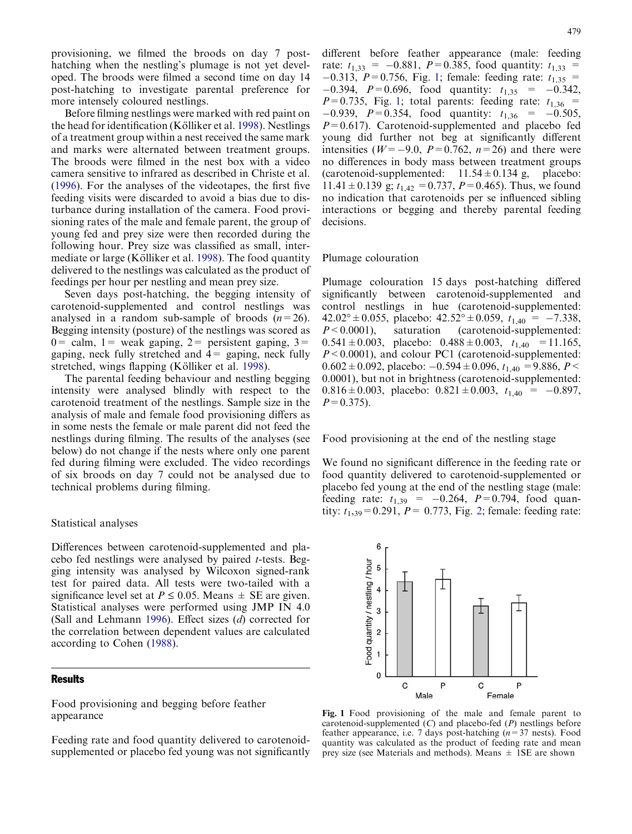provisioning, we filmed the broods on day 7 posthatching when the nestling's plumage is not yet developed. The broods were filmed a second time on day 14 post-hatching to investigate parental preference for more intensely coloured nestlings.

Before filming nestlings were marked with red paint on the head for identification (Kölliker et al. [1998\)](#page-4-0). Nestlings of a treatment group within a nest received the same mark and marks were alternated between treatment groups. The broods were filmed in the nest box with a video camera sensitive to infrared as described in Christe et al. ([1996\)](#page-4-0). For the analyses of the videotapes, the first five feeding visits were discarded to avoid a bias due to disturbance during installation of the camera. Food provisioning rates of the male and female parent, the group of young fed and prey size were then recorded during the following hour. Prey size was classified as small, inter-mediate or large (Kölliker et al. [1998](#page-4-0)). The food quantity delivered to the nestlings was calculated as the product of feedings per hour per nestling and mean prey size.

Seven days post-hatching, the begging intensity of carotenoid-supplemented and control nestlings was analysed in a random sub-sample of broods  $(n=26)$ . Begging intensity (posture) of the nestlings was scored as  $0=$  calm,  $1=$  weak gaping,  $2=$  persistent gaping,  $3=$ gaping, neck fully stretched and  $4=$  gaping, neck fully stretched, wings flapping (Kölliker et al. [1998](#page-4-0)).

The parental feeding behaviour and nestling begging intensity were analysed blindly with respect to the carotenoid treatment of the nestlings. Sample size in the analysis of male and female food provisioning differs as in some nests the female or male parent did not feed the nestlings during filming. The results of the analyses (see below) do not change if the nests where only one parent fed during filming were excluded. The video recordings of six broods on day 7 could not be analysed due to technical problems during filming.

## Statistical analyses

Differences between carotenoid-supplemented and placebo fed nestlings were analysed by paired t-tests. Begging intensity was analysed by Wilcoxon signed-rank test for paired data. All tests were two-tailed with a significance level set at  $P \le 0.05$ . Means  $\pm$  SE are given. Statistical analyses were performed using JMP IN 4.0 (Sall and Lehmann [1996](#page-4-0)). Effect sizes (d) corrected for the correlation between dependent values are calculated according to Cohen ([1988](#page-4-0)).

## Results

Food provisioning and begging before feather appearance

Feeding rate and food quantity delivered to carotenoidsupplemented or placebo fed young was not significantly

different before feather appearance (male: feeding rate:  $t_{1,33}$  = -0.881, P=0.385, food quantity:  $t_{1,33}$  =  $-0.313$ ,  $P=0.756$ , Fig. 1; female: feeding rate:  $t_{1,35}$  =  $-0.394$ ,  $P=0.696$ , food quantity:  $t_{1,35} = -0.342$ ,  $P=0.735$ , Fig. 1; total parents: feeding rate:  $t_{1,36}$  =  $-0.939$ ,  $P=0.354$ , food quantity:  $t_{1,36} = -0.505$ ,  $P=0.617$ ). Carotenoid-supplemented and placebo fed young did further not beg at significantly different intensities ( $W=-9.0$ ,  $P=0.762$ ,  $n=26$ ) and there were no differences in body mass between treatment groups (carotenoid-supplemented:  $11.54 \pm 0.134$  g, placebo: 11.41  $\pm$  0.139 g;  $t_{1.42}$  = 0.737, P = 0.465). Thus, we found no indication that carotenoids per se influenced sibling interactions or begging and thereby parental feeding decisions.

#### Plumage colouration

Plumage colouration 15 days post-hatching differed significantly between carotenoid-supplemented and control nestlings in hue (carotenoid-supplemented:  $42.02^{\circ} \pm 0.055$ , placebo:  $42.52^{\circ} \pm 0.059$ ,  $t_{1,40} = -7.338$ ,  $P \leq 0.0001$ , saturation (carotenoid-supplemented: 0.541  $\pm$  0.003, placebo: 0.488  $\pm$  0.003,  $t_{1,40}$  = 11.165,  $P \leq 0.0001$ ), and colour PC1 (carotenoid-supplemented:  $0.602 \pm 0.092$ , placebo:  $-0.594 \pm 0.096$ ,  $t_{1,40} = 9.886$ ,  $P \le$ 0.0001), but not in brightness (carotenoid-supplemented: 0.816 $\pm$ 0.003, placebo: 0.821 $\pm$ 0.003,  $t_{1,40} = -0.897$ ,  $P=0.375$ ).

Food provisioning at the end of the nestling stage

We found no significant difference in the feeding rate or food quantity delivered to carotenoid-supplemented or placebo fed young at the end of the nestling stage (male: feeding rate:  $t_{1,39} = -0.264$ ,  $P=0.794$ , food quantity:  $t_{1,39} = 0.291$ ,  $P = 0.773$ , Fig. [2; female: feeding rate:](#page-3-0)



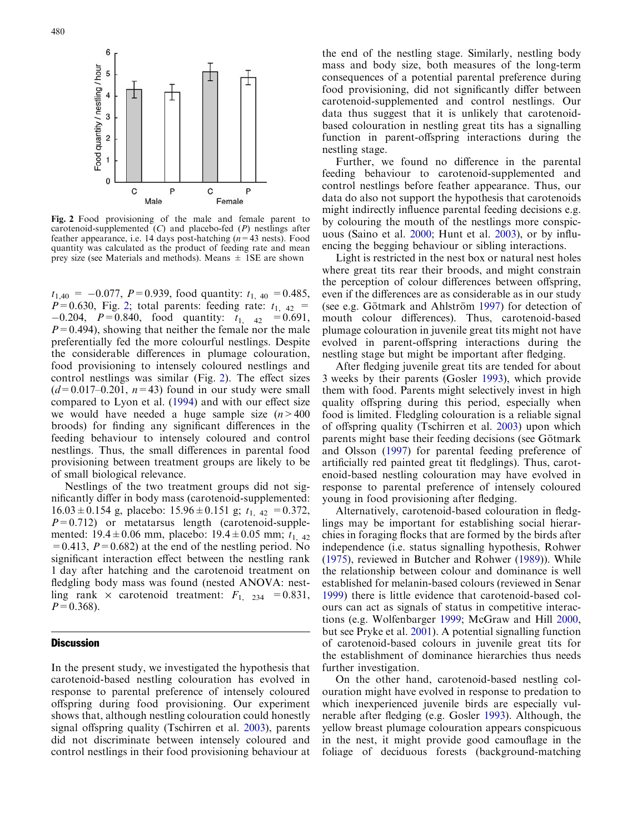<span id="page-3-0"></span>

Fig. 2 Food provisioning of the male and female parent to carotenoid-supplemented  $(C)$  and placebo-fed  $(P)$  nestlings after feather appearance, i.e. 14 days post-hatching  $(n=43 \text{ nests})$ . Food quantity was calculated as the product of feeding rate and mean prey size (see Materials and methods). Means  $\pm$  1SE are shown

 $t_{1,40} = -0.077$ ,  $P=0.939$ , food quantity:  $t_{1,40} = 0.485$ ,  $P=0.630$ , Fig. 2; total parents: feeding rate:  $t_{1,42}$  =  $-0.204$ ,  $P=0.840$ , food quantity:  $t_{1,42} = 0.691$ ,  $P=0.494$ ), showing that neither the female nor the male preferentially fed the more colourful nestlings. Despite the considerable differences in plumage colouration, food provisioning to intensely coloured nestlings and control nestlings was similar (Fig. 2). The effect sizes  $(d=0.017-0.201, n=43)$  found in our study were small [compared to Lyon et al. \(1994\)](#page-4-0) and with our effect size we would have needed a huge sample size  $(n>400)$ broods) for finding any significant differences in the feeding behaviour to intensely coloured and control nestlings. Thus, the small differences in parental food provisioning between treatment groups are likely to be of small biological relevance.

Nestlings of the two treatment groups did not significantly differ in body mass (carotenoid-supplemented:  $16.03 \pm 0.154$  g, placebo:  $15.96 \pm 0.151$  g;  $t_{1,42} = 0.372$ ,  $P=0.712$ ) or metatarsus length (carotenoid-supplemented:  $19.4 \pm 0.06$  mm, placebo:  $19.4 \pm 0.05$  mm;  $t_{1,42}$  $=0.413$ ,  $P=0.682$ ) at the end of the nestling period. No significant interaction effect between the nestling rank 1 day after hatching and the carotenoid treatment on fledgling body mass was found (nested ANOVA: nestling rank  $\times$  carotenoid treatment:  $F_{1, 234} = 0.831$ ,  $P=0.368$ ).

## **Discussion**

In the present study, we investigated the hypothesis that carotenoid-based nestling colouration has evolved in response to parental preference of intensely coloured offspring during food provisioning. Our experiment shows that, although nestling colouration could honestly signal offspring quality (Tschirren et al. [2003\)](#page-5-0), parents did not discriminate between intensely coloured and control nestlings in their food provisioning behaviour at

the end of the nestling stage. Similarly, nestling body mass and body size, both measures of the long-term consequences of a potential parental preference during food provisioning, did not significantly differ between carotenoid-supplemented and control nestlings. Our data thus suggest that it is unlikely that carotenoidbased colouration in nestling great tits has a signalling function in parent-offspring interactions during the nestling stage.

Further, we found no difference in the parental feeding behaviour to carotenoid-supplemented and control nestlings before feather appearance. Thus, our data do also not support the hypothesis that carotenoids might indirectly influence parental feeding decisions e.g. by colouring the mouth of the nestlings more conspicuous (Saino et al. [2000](#page-4-0); Hunt et al. [2003](#page-4-0)), or by influencing the begging behaviour or sibling interactions.

Light is restricted in the nest box or natural nest holes where great tits rear their broods, and might constrain the perception of colour differences between offspring, even if the differences are as considerable as in our study (see e.g. Götmark and Ahlström [1997](#page-4-0)) for detection of mouth colour differences). Thus, carotenoid-based plumage colouration in juvenile great tits might not have evolved in parent-offspring interactions during the nestling stage but might be important after fledging.

After fledging juvenile great tits are tended for about 3 weeks by their parents (Gosler [1993\)](#page-4-0), which provide them with food. Parents might selectively invest in high quality offspring during this period, especially when food is limited. Fledgling colouration is a reliable signal of offspring quality (Tschirren et al. [2003\)](#page-5-0) upon which parents might base their feeding decisions (see Götmark and Olsson [\(1997](#page-4-0)) for parental feeding preference of artificially red painted great tit fledglings). Thus, carotenoid-based nestling colouration may have evolved in response to parental preference of intensely coloured young in food provisioning after fledging.

Alternatively, carotenoid-based colouration in fledglings may be important for establishing social hierarchies in foraging flocks that are formed by the birds after independence (i.e. status signalling hypothesis, Rohwer ([1975](#page-4-0)), reviewed in Butcher and Rohwer [\(1989\)](#page-4-0)). While the relationship between colour and dominance is well established for melanin-based colours (reviewed in Senar [1999\)](#page-4-0) there is little evidence that carotenoid-based colours can act as signals of status in competitive interactions (e.g. Wolfenbarger [1999](#page-5-0); McGraw and Hill [2000](#page-4-0), but see Pryke et al. [2001\)](#page-4-0). A potential signalling function of carotenoid-based colours in juvenile great tits for the establishment of dominance hierarchies thus needs further investigation.

On the other hand, carotenoid-based nestling colouration might have evolved in response to predation to which inexperienced juvenile birds are especially vulnerable after fledging (e.g. Gosler [1993\)](#page-4-0). Although, the yellow breast plumage colouration appears conspicuous in the nest, it might provide good camouflage in the foliage of deciduous forests (background-matching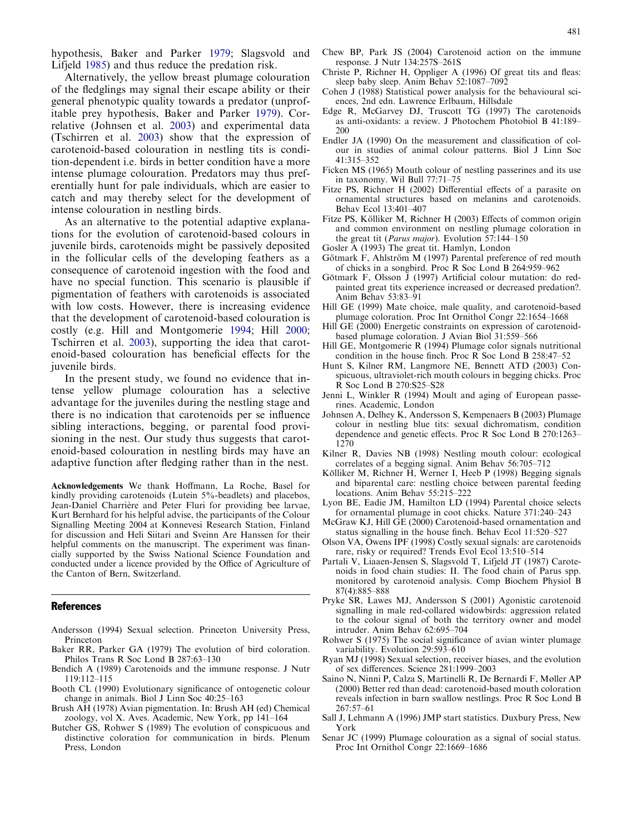<span id="page-4-0"></span>hypothesis, Baker and Parker 1979; Slagsvold and Lifjeld [1985](#page-5-0)) and thus reduce the predation risk.

Alternatively, the yellow breast plumage colouration of the fledglings may signal their escape ability or their general phenotypic quality towards a predator (unprofitable prey hypothesis, Baker and Parker 1979). Correlative (Johnsen et al. 2003) and experimental data (Tschirren et al. [2003](#page-5-0)) show that the expression of carotenoid-based colouration in nestling tits is condition-dependent i.e. birds in better condition have a more intense plumage colouration. Predators may thus preferentially hunt for pale individuals, which are easier to catch and may thereby select for the development of intense colouration in nestling birds.

As an alternative to the potential adaptive explanations for the evolution of carotenoid-based colours in juvenile birds, carotenoids might be passively deposited in the follicular cells of the developing feathers as a consequence of carotenoid ingestion with the food and have no special function. This scenario is plausible if pigmentation of feathers with carotenoids is associated with low costs. However, there is increasing evidence that the development of carotenoid-based colouration is costly (e.g. Hill and Montgomerie 1994; Hill 2000; Tschirren et al. [2003\)](#page-5-0), supporting the idea that carotenoid-based colouration has beneficial effects for the juvenile birds.

In the present study, we found no evidence that intense yellow plumage colouration has a selective advantage for the juveniles during the nestling stage and there is no indication that carotenoids per se influence sibling interactions, begging, or parental food provisioning in the nest. Our study thus suggests that carotenoid-based colouration in nestling birds may have an adaptive function after fledging rather than in the nest.

Acknowledgements We thank Hoffmann, La Roche, Basel for kindly providing carotenoids (Lutein 5%-beadlets) and placebos, Jean-Daniel Charrière and Peter Fluri for providing bee larvae, Kurt Bernhard for his helpful advise, the participants of the Colour Signalling Meeting 2004 at Konnevesi Research Station, Finland for discussion and Heli Siitari and Sveinn Are Hanssen for their helpful comments on the manuscript. The experiment was financially supported by the Swiss National Science Foundation and conducted under a licence provided by the Office of Agriculture of the Canton of Bern, Switzerland.

#### References

- Andersson (1994) Sexual selection. Princeton University Press, Princeton
- Baker RR, Parker GA (1979) The evolution of bird coloration. Philos Trans R Soc Lond B 287:63–130
- Bendich A (1989) Carotenoids and the immune response. J Nutr 119:112–115
- Booth CL (1990) Evolutionary significance of ontogenetic colour change in animals. Biol J Linn Soc 40:25–163
- Brush AH (1978) Avian pigmentation. In: Brush AH (ed) Chemical zoology, vol X. Aves. Academic, New York, pp 141–164
- Butcher GS, Rohwer S (1989) The evolution of conspicuous and distinctive coloration for communication in birds. Plenum Press, London
- Chew BP, Park JS (2004) Carotenoid action on the immune response. J Nutr 134:257S–261S
- Christe P, Richner H, Oppliger A (1996) Of great tits and fleas: sleep baby sleep. Anim Behav 52:1087–7092
- Cohen J (1988) Statistical power analysis for the behavioural sciences, 2nd edn. Lawrence Erlbaum, Hillsdale
- Edge R, McGarvey DJ, Truscott TG (1997) The carotenoids as anti-oxidants: a review. J Photochem Photobiol B 41:189– 200
- Endler JA (1990) On the measurement and classification of colour in studies of animal colour patterns. Biol J Linn Soc 41:315–352
- Ficken MS (1965) Mouth colour of nestling passerines and its use in taxonomy. Wil Bull 77:71–75
- Fitze PS, Richner H (2002) Differential effects of a parasite on ornamental structures based on melanins and carotenoids. Behav Ecol 13:401–407
- Fitze PS, Kölliker M, Richner H (2003) Effects of common origin and common environment on nestling plumage coloration in the great tit (Parus major). Evolution 57:144–150
- Gosler A (1993) The great tit. Hamlyn, London
- Götmark F, Ahlström M (1997) Parental preference of red mouth of chicks in a songbird. Proc R Soc Lond B 264:959–962
- Götmark F, Olsson J (1997) Artificial colour mutation: do redpainted great tits experience increased or decreased predation?. Anim Behav 53:83–91
- Hill GE (1999) Mate choice, male quality, and carotenoid-based plumage coloration. Proc Int Ornithol Congr 22:1654–1668
- Hill GE (2000) Energetic constraints on expression of carotenoidbased plumage coloration. J Avian Biol 31:559–566
- Hill GE, Montgomerie R (1994) Plumage color signals nutritional condition in the house finch. Proc R Soc Lond B 258:47–52
- Hunt S, Kilner RM, Langmore NE, Bennett ATD (2003) Conspicuous, ultraviolet-rich mouth colours in begging chicks. Proc R Soc Lond B 270:S25–S28
- Jenni L, Winkler R (1994) Moult and aging of European passerines. Academic, London
- Johnsen A, Delhey K, Andersson S, Kempenaers B (2003) Plumage colour in nestling blue tits: sexual dichromatism, condition dependence and genetic effects. Proc R Soc Lond B 270:1263– 1270
- Kilner R, Davies NB (1998) Nestling mouth colour: ecological correlates of a begging signal. Anim Behav 56:705–712
- Kölliker M, Richner H, Werner I, Heeb P (1998) Begging signals and biparental care: nestling choice between parental feeding locations. Anim Behav 55:215-222
- Lyon BE, Eadie JM, Hamilton LD (1994) Parental choice selects for ornamental plumage in coot chicks. Nature 371:240–243
- McGraw KJ, Hill GE (2000) Carotenoid-based ornamentation and status signalling in the house finch. Behav Ecol 11:520–527
- Olson VA, Owens IPF (1998) Costly sexual signals: are carotenoids rare, risky or required? Trends Evol Ecol 13:510–514
- Partali V, Liaaen-Jensen S, Slagsvold T, Lifjeld JT (1987) Carotenoids in food chain studies: II. The food chain of Parus spp. monitored by carotenoid analysis. Comp Biochem Physiol B 87(4):885–888
- Pryke SR, Lawes MJ, Andersson S (2001) Agonistic carotenoid signalling in male red-collared widowbirds: aggression related to the colour signal of both the territory owner and model intruder. Anim Behav 62:695–704
- Rohwer S (1975) The social significance of avian winter plumage variability. Evolution 29:593–610
- Ryan MJ (1998) Sexual selection, receiver biases, and the evolution of sex differences. Science 281:1999–2003
- Saino N, Ninni P, Calza S, Martinelli R, De Bernardi F, Møller AP (2000) Better red than dead: carotenoid-based mouth coloration reveals infection in barn swallow nestlings. Proc R Soc Lond B 267:57–61
- Sall J, Lehmann A (1996) JMP start statistics. Duxbury Press, New York
- Senar JC (1999) Plumage colouration as a signal of social status. Proc Int Ornithol Congr 22:1669–1686